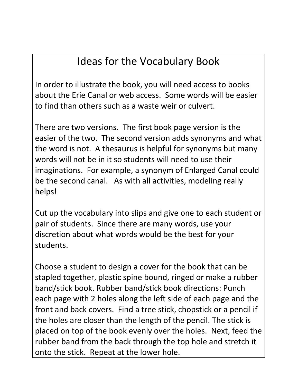## Ideas for the Vocabulary Book

In order to illustrate the book, you will need access to books about the Erie Canal or web access. Some words will be easier to find than others such as a waste weir or culvert.

There are two versions. The first book page version is the easier of the two. The second version adds synonyms and what the word is not. A thesaurus is helpful for synonyms but many words will not be in it so students will need to use their imaginations. For example, a synonym of Enlarged Canal could be the second canal. As with all activities, modeling really helps!

Cut up the vocabulary into slips and give one to each student or pair of students. Since there are many words, use your discretion about what words would be the best for your students.

Choose a student to design a cover for the book that can be stapled together, plastic spine bound, ringed or make a rubber band/stick book. Rubber band/stick book directions: Punch each page with 2 holes along the left side of each page and the front and back covers. Find a tree stick, chopstick or a pencil if the holes are closer than the length of the pencil. The stick is placed on top of the book evenly over the holes. Next, feed the rubber band from the back through the top hole and stretch it onto the stick. Repeat at the lower hole.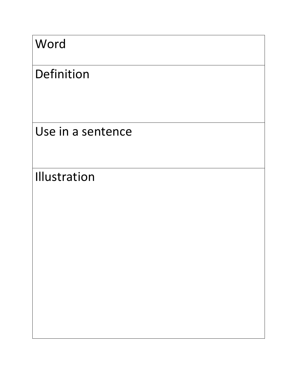| Word |  |
|------|--|
|------|--|

## Definition

Use in a sentence

Illustration